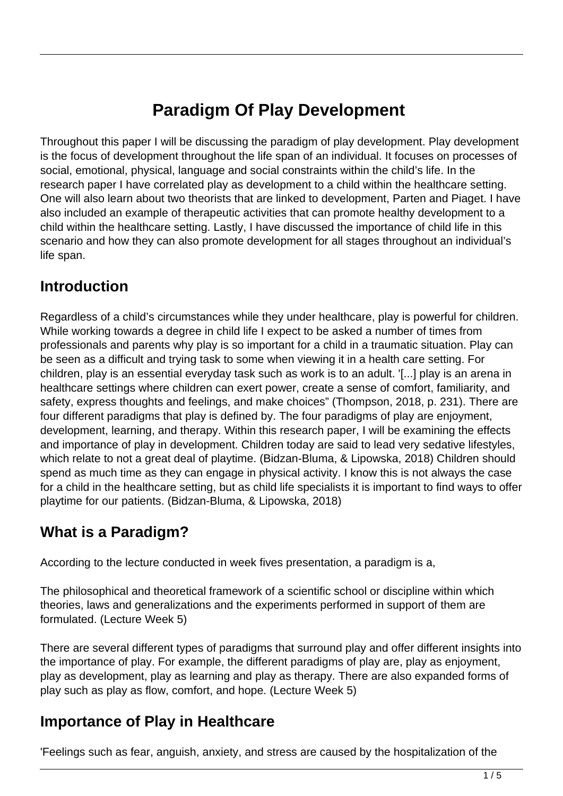# **Paradigm Of Play Development**

Throughout this paper I will be discussing the paradigm of play development. Play development is the focus of development throughout the life span of an individual. It focuses on processes of social, emotional, physical, language and social constraints within the child's life. In the research paper I have correlated play as development to a child within the healthcare setting. One will also learn about two theorists that are linked to development, Parten and Piaget. I have also included an example of therapeutic activities that can promote healthy development to a child within the healthcare setting. Lastly, I have discussed the importance of child life in this scenario and how they can also promote development for all stages throughout an individual's life span.

### **Introduction**

Regardless of a child's circumstances while they under healthcare, play is powerful for children. While working towards a degree in child life I expect to be asked a number of times from professionals and parents why play is so important for a child in a traumatic situation. Play can be seen as a difficult and trying task to some when viewing it in a health care setting. For children, play is an essential everyday task such as work is to an adult. '[...] play is an arena in healthcare settings where children can exert power, create a sense of comfort, familiarity, and safety, express thoughts and feelings, and make choices" (Thompson, 2018, p. 231). There are four different paradigms that play is defined by. The four paradigms of play are enjoyment, development, learning, and therapy. Within this research paper, I will be examining the effects and importance of play in development. Children today are said to lead very sedative lifestyles, which relate to not a great deal of playtime. (Bidzan-Bluma, & Lipowska, 2018) Children should spend as much time as they can engage in physical activity. I know this is not always the case for a child in the healthcare setting, but as child life specialists it is important to find ways to offer playtime for our patients. (Bidzan-Bluma, & Lipowska, 2018)

## **What is a Paradigm?**

According to the lecture conducted in week fives presentation, a paradigm is a,

The philosophical and theoretical framework of a scientific school or discipline within which theories, laws and generalizations and the experiments performed in support of them are formulated. (Lecture Week 5)

There are several different types of paradigms that surround play and offer different insights into the importance of play. For example, the different paradigms of play are, play as enjoyment, play as development, play as learning and play as therapy. There are also expanded forms of play such as play as flow, comfort, and hope. (Lecture Week 5)

## **Importance of Play in Healthcare**

'Feelings such as fear, anguish, anxiety, and stress are caused by the hospitalization of the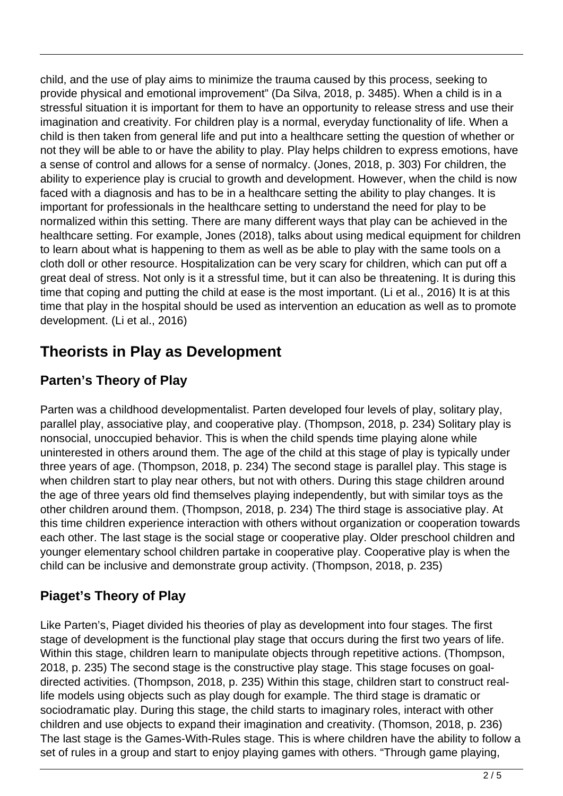child, and the use of play aims to minimize the trauma caused by this process, seeking to provide physical and emotional improvement" (Da Silva, 2018, p. 3485). When a child is in a stressful situation it is important for them to have an opportunity to release stress and use their imagination and creativity. For children play is a normal, everyday functionality of life. When a child is then taken from general life and put into a healthcare setting the question of whether or not they will be able to or have the ability to play. Play helps children to express emotions, have a sense of control and allows for a sense of normalcy. (Jones, 2018, p. 303) For children, the ability to experience play is crucial to growth and development. However, when the child is now faced with a diagnosis and has to be in a healthcare setting the ability to play changes. It is important for professionals in the healthcare setting to understand the need for play to be normalized within this setting. There are many different ways that play can be achieved in the healthcare setting. For example, Jones (2018), talks about using medical equipment for children to learn about what is happening to them as well as be able to play with the same tools on a cloth doll or other resource. Hospitalization can be very scary for children, which can put off a great deal of stress. Not only is it a stressful time, but it can also be threatening. It is during this time that coping and putting the child at ease is the most important. (Li et al., 2016) It is at this time that play in the hospital should be used as intervention an education as well as to promote development. (Li et al., 2016)

## **Theorists in Play as Development**

#### **Parten's Theory of Play**

Parten was a childhood developmentalist. Parten developed four levels of play, solitary play, parallel play, associative play, and cooperative play. (Thompson, 2018, p. 234) Solitary play is nonsocial, unoccupied behavior. This is when the child spends time playing alone while uninterested in others around them. The age of the child at this stage of play is typically under three years of age. (Thompson, 2018, p. 234) The second stage is parallel play. This stage is when children start to play near others, but not with others. During this stage children around the age of three years old find themselves playing independently, but with similar toys as the other children around them. (Thompson, 2018, p. 234) The third stage is associative play. At this time children experience interaction with others without organization or cooperation towards each other. The last stage is the social stage or cooperative play. Older preschool children and younger elementary school children partake in cooperative play. Cooperative play is when the child can be inclusive and demonstrate group activity. (Thompson, 2018, p. 235)

#### **Piaget's Theory of Play**

Like Parten's, Piaget divided his theories of play as development into four stages. The first stage of development is the functional play stage that occurs during the first two years of life. Within this stage, children learn to manipulate objects through repetitive actions. (Thompson, 2018, p. 235) The second stage is the constructive play stage. This stage focuses on goaldirected activities. (Thompson, 2018, p. 235) Within this stage, children start to construct reallife models using objects such as play dough for example. The third stage is dramatic or sociodramatic play. During this stage, the child starts to imaginary roles, interact with other children and use objects to expand their imagination and creativity. (Thomson, 2018, p. 236) The last stage is the Games-With-Rules stage. This is where children have the ability to follow a set of rules in a group and start to enjoy playing games with others. "Through game playing,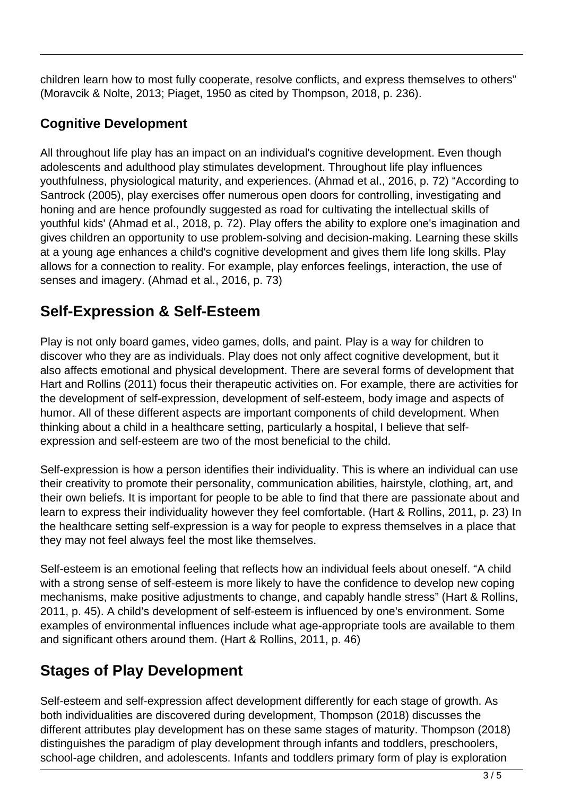children learn how to most fully cooperate, resolve conflicts, and express themselves to others" (Moravcik & Nolte, 2013; Piaget, 1950 as cited by Thompson, 2018, p. 236).

#### **Cognitive Development**

All throughout life play has an impact on an individual's cognitive development. Even though adolescents and adulthood play stimulates development. Throughout life play influences youthfulness, physiological maturity, and experiences. (Ahmad et al., 2016, p. 72) "According to Santrock (2005), play exercises offer numerous open doors for controlling, investigating and honing and are hence profoundly suggested as road for cultivating the intellectual skills of youthful kids' (Ahmad et al., 2018, p. 72). Play offers the ability to explore one's imagination and gives children an opportunity to use problem-solving and decision-making. Learning these skills at a young age enhances a child's cognitive development and gives them life long skills. Play allows for a connection to reality. For example, play enforces feelings, interaction, the use of senses and imagery. (Ahmad et al., 2016, p. 73)

## **Self-Expression & Self-Esteem**

Play is not only board games, video games, dolls, and paint. Play is a way for children to discover who they are as individuals. Play does not only affect cognitive development, but it also affects emotional and physical development. There are several forms of development that Hart and Rollins (2011) focus their therapeutic activities on. For example, there are activities for the development of self-expression, development of self-esteem, body image and aspects of humor. All of these different aspects are important components of child development. When thinking about a child in a healthcare setting, particularly a hospital, I believe that selfexpression and self-esteem are two of the most beneficial to the child.

Self-expression is how a person identifies their individuality. This is where an individual can use their creativity to promote their personality, communication abilities, hairstyle, clothing, art, and their own beliefs. It is important for people to be able to find that there are passionate about and learn to express their individuality however they feel comfortable. (Hart & Rollins, 2011, p. 23) In the healthcare setting self-expression is a way for people to express themselves in a place that they may not feel always feel the most like themselves.

Self-esteem is an emotional feeling that reflects how an individual feels about oneself. "A child with a strong sense of self-esteem is more likely to have the confidence to develop new coping mechanisms, make positive adjustments to change, and capably handle stress" (Hart & Rollins, 2011, p. 45). A child's development of self-esteem is influenced by one's environment. Some examples of environmental influences include what age-appropriate tools are available to them and significant others around them. (Hart & Rollins, 2011, p. 46)

## **Stages of Play Development**

Self-esteem and self-expression affect development differently for each stage of growth. As both individualities are discovered during development, Thompson (2018) discusses the different attributes play development has on these same stages of maturity. Thompson (2018) distinguishes the paradigm of play development through infants and toddlers, preschoolers, school-age children, and adolescents. Infants and toddlers primary form of play is exploration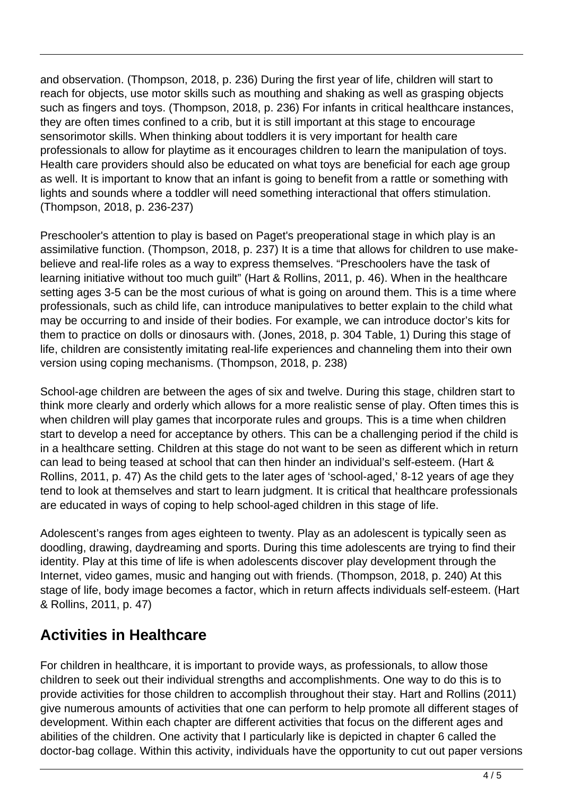and observation. (Thompson, 2018, p. 236) During the first year of life, children will start to reach for objects, use motor skills such as mouthing and shaking as well as grasping objects such as fingers and toys. (Thompson, 2018, p. 236) For infants in critical healthcare instances, they are often times confined to a crib, but it is still important at this stage to encourage sensorimotor skills. When thinking about toddlers it is very important for health care professionals to allow for playtime as it encourages children to learn the manipulation of toys. Health care providers should also be educated on what toys are beneficial for each age group as well. It is important to know that an infant is going to benefit from a rattle or something with lights and sounds where a toddler will need something interactional that offers stimulation. (Thompson, 2018, p. 236-237)

Preschooler's attention to play is based on Paget's preoperational stage in which play is an assimilative function. (Thompson, 2018, p. 237) It is a time that allows for children to use makebelieve and real-life roles as a way to express themselves. "Preschoolers have the task of learning initiative without too much guilt" (Hart & Rollins, 2011, p. 46). When in the healthcare setting ages 3-5 can be the most curious of what is going on around them. This is a time where professionals, such as child life, can introduce manipulatives to better explain to the child what may be occurring to and inside of their bodies. For example, we can introduce doctor's kits for them to practice on dolls or dinosaurs with. (Jones, 2018, p. 304 Table, 1) During this stage of life, children are consistently imitating real-life experiences and channeling them into their own version using coping mechanisms. (Thompson, 2018, p. 238)

School-age children are between the ages of six and twelve. During this stage, children start to think more clearly and orderly which allows for a more realistic sense of play. Often times this is when children will play games that incorporate rules and groups. This is a time when children start to develop a need for acceptance by others. This can be a challenging period if the child is in a healthcare setting. Children at this stage do not want to be seen as different which in return can lead to being teased at school that can then hinder an individual's self-esteem. (Hart & Rollins, 2011, p. 47) As the child gets to the later ages of 'school-aged,' 8-12 years of age they tend to look at themselves and start to learn judgment. It is critical that healthcare professionals are educated in ways of coping to help school-aged children in this stage of life.

Adolescent's ranges from ages eighteen to twenty. Play as an adolescent is typically seen as doodling, drawing, daydreaming and sports. During this time adolescents are trying to find their identity. Play at this time of life is when adolescents discover play development through the Internet, video games, music and hanging out with friends. (Thompson, 2018, p. 240) At this stage of life, body image becomes a factor, which in return affects individuals self-esteem. (Hart & Rollins, 2011, p. 47)

### **Activities in Healthcare**

For children in healthcare, it is important to provide ways, as professionals, to allow those children to seek out their individual strengths and accomplishments. One way to do this is to provide activities for those children to accomplish throughout their stay. Hart and Rollins (2011) give numerous amounts of activities that one can perform to help promote all different stages of development. Within each chapter are different activities that focus on the different ages and abilities of the children. One activity that I particularly like is depicted in chapter 6 called the doctor-bag collage. Within this activity, individuals have the opportunity to cut out paper versions